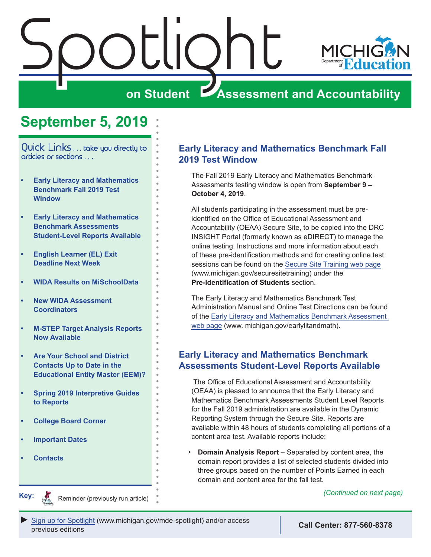<span id="page-0-0"></span>

# **on Student Assessment and Accountability**

# **September 5, 2019**

Quick Links . . . take you directly to articles or sections . . .

- **• Early Literacy and Mathematics Benchmark Fall 2019 Test Window**
- **• Early Literacy and Mathematics Benchmark Assessments Student-Level Reports Available**
- **• [English Learner \(EL\) Exit](#page-1-0)  [Deadline Next Week](#page-1-0)**
- **• [WIDA Results on MiSchoolData](#page-1-0)**
- **• [New WIDA Assessment](#page-1-0)  [Coordinators](#page-1-0)**
- **• [M-STEP Target Analysis Reports](#page-2-0)  [Now Available](#page-2-0)**
- **• [Are Your School and District](#page-2-0)  [Contacts Up to Date in the](#page-2-0)  [Educational Entity Master \(EEM\)?](#page-2-0)**
- **• [Spring 2019 Interpretive Guides](#page-3-0)  [to Reports](#page-3-0)**
- **• [College Board Corner](#page-4-0)**
- **• [Important Dates](#page-6-0)**
- **• [Contacts](#page-7-0)**

Reminders

**Key:**

### **Early Literacy and Mathematics Benchmark Fall 2019 Test Window**

The Fall 2019 Early Literacy and Mathematics Benchmark Assessments testing window is open from **September 9 – October 4, 2019**.

All students participating in the assessment must be preidentified on the Office of Educational Assessment and Accountability (OEAA) Secure Site, to be copied into the DRC INSIGHT Portal (formerly known as eDIRECT) to manage the online testing. Instructions and more information about each of these pre-identification methods and for creating online test sessions can be found on the [Secure Site Training web page](http://www.michigan.gov/securesitetraining) (www.michigan.gov/securesitetraining) under the **Pre-Identification of Students** section.

The Early Literacy and Mathematics Benchmark Test Administration Manual and Online Test Directions can be found of the [Early Literacy and Mathematics Benchmark Assessment](www.michigan.gov/earlylitandmath)  [web page](www.michigan.gov/earlylitandmath) (www. michigan.gov/earlylitandmath).

### **Early Literacy and Mathematics Benchmark Assessments Student-Level Reports Available**

 The Office of Educational Assessment and Accountability (OEAA) is pleased to announce that the Early Literacy and Mathematics Benchmark Assessments Student Level Reports for the Fall 2019 administration are available in the Dynamic Reporting System through the Secure Site. Reports are available within 48 hours of students completing all portions of a content area test. Available reports include:

• **Domain Analysis Report** – Separated by content area, the domain report provides a list of selected students divided into three groups based on the number of Points Earned in each domain and content area for the fall test.

Reminder (previously run article) *(Continued on next page)*

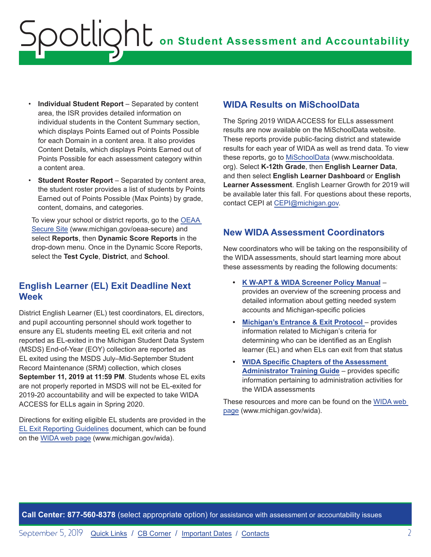- <span id="page-1-0"></span>• **Individual Student Report** – Separated by content area, the ISR provides detailed information on individual students in the Content Summary section, which displays Points Earned out of Points Possible for each Domain in a content area. It also provides Content Details, which displays Points Earned out of Points Possible for each assessment category within a content area.
- **Student Roster Report** Separated by content area, the student roster provides a list of students by Points Earned out of Points Possible (Max Points) by grade, content, domains, and categories.

To view your school or district reports, go to the [OEAA](http://www.michigan.gov/oeaa-secure)  [Secure Site](http://www.michigan.gov/oeaa-secure) (www.michigan.gov/oeaa-secure) and select **Reports**, then **Dynamic Score Reports** in the drop-down menu. Once in the Dynamic Score Reports, select the **Test Cycle**, **District**, and **School**.

## **English Learner (EL) Exit Deadline Next Week**

District English Learner (EL) test coordinators, EL directors, and pupil accounting personnel should work together to ensure any EL students meeting EL exit criteria and not reported as EL-exited in the Michigan Student Data System (MSDS) End-of-Year (EOY) collection are reported as EL exited using the MSDS July–Mid-September Student Record Maintenance (SRM) collection, which closes **September 11, 2019 at 11:59 PM**. Students whose EL exits are not properly reported in MSDS will not be EL-exited for 2019-20 accountability and will be expected to take WIDA ACCESS for ELLs again in Spring 2020.

Directions for exiting eligible EL students are provided in the [EL Exit Reporting Guidelines](https://www.michigan.gov/documents/mde/English_Learner_EL_Exit_Reporting_Guidelines_624626_7.pdf) document, which can be found on the [WIDA web page](www.michigan.gov/wida) (www.michigan.gov/wida).

### **WIDA Results on MiSchoolData**

The Spring 2019 WIDA ACCESS for ELLs assessment results are now available on the MiSchoolData website. These reports provide public-facing district and statewide results for each year of WIDA as well as trend data. To view these reports, go to [MiSchoolData](https://www.mischooldata.org/) (www.mischooldata. org). Select **K-12th Grade**, then **English Learner Data**, and then select **English Learner Dashboard** or **English Learner Assessment**. English Learner Growth for 2019 will be available later this fall. For questions about these reports, contact CEPI at [CEPI@michigan.gov](mailto:CEPI%40michigan.gov?subject=).

## **New WIDA Assessment Coordinators**

New coordinators who will be taking on the responsibility of the WIDA assessments, should start learning more about these assessments by reading the following documents:

- **• [K W-APT & WIDA Screener Policy Manual](https://www.michigan.gov/documents/mde/WIDA_Screener_and_W-APT_Michigan_Policy_Manual_635005_7.pdf)** provides an overview of the screening process and detailed information about getting needed system accounts and Michigan-specific policies
- **• [Michigan's Entrance & Exit Protocol](https://www.michigan.gov/documents/mde/Entrance_and_Exit_Protocol_updated_May_2016_550634_7.pdf)** provides information related to Michigan's criteria for determining who can be identified as an English learner (EL) and when ELs can exit from that status
- **• [WIDA Specific Chapters of the Assessment](https://www.michigan.gov/mde/0,4615,7-140-22709_63192-476290--,00.html)  [Administrator Training Guide](https://www.michigan.gov/mde/0,4615,7-140-22709_63192-476290--,00.html)** – provides specific information pertaining to administration activities for the WIDA assessments

These resources and more can be found on the [WIDA web](www.michigan.gov/wida)  [page](www.michigan.gov/wida) (www.michigan.gov/wida).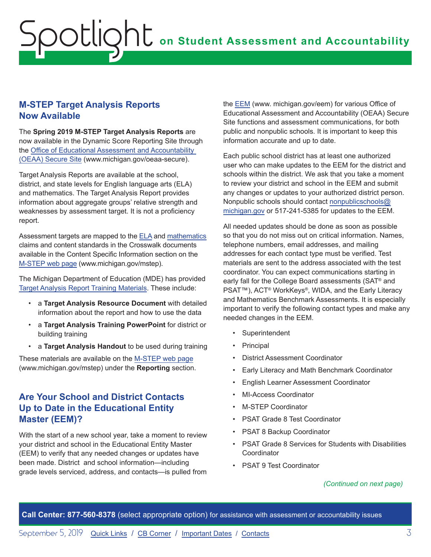### <span id="page-2-0"></span>**M-STEP Target Analysis Reports Now Available**

The **Spring 2019 M-STEP Target Analysis Reports** are now available in the Dynamic Score Reporting Site through the [Office of Educational Assessment and Accountability](http://www.michigan.gov/oeaa-secure)  [\(OEAA\) Secure Site](http://www.michigan.gov/oeaa-secure) (www.michigan.gov/oeaa-secure).

Target Analysis Reports are available at the school, district, and state levels for English language arts (ELA) and mathematics. The Target Analysis Report provides information about aggregate groups' relative strength and weaknesses by assessment target. It is not a proficiency report.

Assessment targets are mapped to the [ELA](https://www.michigan.gov/mde/0,4615,7-140-22709_70117-364986--,00.html) and [mathematics](https://www.michigan.gov/mde/0,4615,7-140-22709_70117-364403--,00.html) claims and content standards in the Crosswalk documents available in the Content Specific Information section on the [M-STEP web page](www.michigan.gov/mstep) (www.michigan.gov/mstep).

The Michigan Department of Education (MDE) has provided [Target Analysis Report Training Materials.](https://www.michigan.gov/mde/0,4615,7-140-22709_70117-396811--,00.html) These include:

- a **Target Analysis Resource Document** with detailed information about the report and how to use the data
- a **Target Analysis Training PowerPoint** for district or building training
- a **Target Analysis Handout** to be used during training

These materials are available on the [M-STEP web page](www.michigan.gov/mstep) (www.michigan.gov/mstep) under the **Reporting** section.

## **Are Your School and District Contacts Up to Date in the Educational Entity Master (EEM)?**

With the start of a new school year, take a moment to review your district and school in the Educational Entity Master (EEM) to verify that any needed changes or updates have been made. District and school information—including grade levels serviced, address, and contacts—is pulled from

the [EEM](www.michigan.gov/EEM) (www. michigan.gov/eem) for various Office of Educational Assessment and Accountability (OEAA) Secure Site functions and assessment communications, for both public and nonpublic schools. It is important to keep this information accurate and up to date.

Each public school district has at least one authorized user who can make updates to the EEM for the district and schools within the district. We ask that you take a moment to review your district and school in the EEM and submit any changes or updates to your authorized district person. Nonpublic schools should contact [nonpublicschools@](mailto:nonpublicschools%40michigan.gov?subject=) [michigan.gov](mailto:nonpublicschools%40michigan.gov?subject=) or 517-241-5385 for updates to the EEM.

All needed updates should be done as soon as possible so that you do not miss out on critical information. Names, telephone numbers, email addresses, and mailing addresses for each contact type must be verified. Test materials are sent to the address associated with the test coordinator. You can expect communications starting in early fall for the College Board assessments (SAT® and PSAT™), ACT® WorkKeys®, WIDA, and the Early Literacy and Mathematics Benchmark Assessments. It is especially important to verify the following contact types and make any needed changes in the EEM.

- Superintendent
- Principal
- District Assessment Coordinator
- Early Literacy and Math Benchmark Coordinator
- English Learner Assessment Coordinator
- MI-Access Coordinator
- M-STEP Coordinator
- PSAT Grade 8 Test Coordinator
- PSAT 8 Backup Coordinator
- PSAT Grade 8 Services for Students with Disabilities **Coordinator**
- PSAT 9 Test Coordinator

### *(Continued on next page)*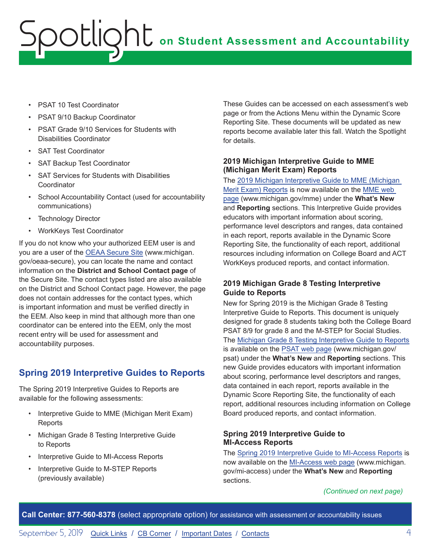# <span id="page-3-0"></span>**on Student Assessment and Accountability** Spotlight

- PSAT 10 Test Coordinator
- PSAT 9/10 Backup Coordinator
- PSAT Grade 9/10 Services for Students with Disabilities Coordinator
- SAT Test Coordinator
- SAT Backup Test Coordinator
- SAT Services for Students with Disabilities Coordinator
- School Accountability Contact (used for accountability communications)
- Technology Director
- WorkKeys Test Coordinator

If you do not know who your authorized EEM user is and you are a user of the [OEAA Secure Site](http://www.michigan.gov/oeaa-secure) (www.michigan. gov/oeaa-secure), you can locate the name and contact information on the **District and School Contact page** of the Secure Site. The contact types listed are also available on the District and School Contact page. However, the page does not contain addresses for the contact types, which is important information and must be verified directly in the EEM. Also keep in mind that although more than one coordinator can be entered into the EEM, only the most recent entry will be used for assessment and accountability purposes.

## **Spring 2019 Interpretive Guides to Reports**

The Spring 2019 Interpretive Guides to Reports are available for the following assessments:

- Interpretive Guide to MME (Michigan Merit Exam) **Reports**
- Michigan Grade 8 Testing Interpretive Guide to Reports
- Interpretive Guide to MI-Access Reports
- Interpretive Guide to M-STEP Reports (previously available)

These Guides can be accessed on each assessment's web page or from the Actions Menu within the Dynamic Score Reporting Site. These documents will be updated as new reports become available later this fall. Watch the Spotlight for details.

#### **2019 Michigan Interpretive Guide to MME (Michigan Merit Exam) Reports**

The [2019 Michigan Interpretive Guide to MME \(Michigan](https://www.michigan.gov/documents/mde/2019_Interpretive_Guide_to_MME_Reports_664597_7.pdf)  [Merit Exam\) Reports](https://www.michigan.gov/documents/mde/2019_Interpretive_Guide_to_MME_Reports_664597_7.pdf) is now available on the [MME web](www.michigan.gov/mme)  [page](www.michigan.gov/mme) (www.michigan.gov/mme) under the **What's New**  and **Reporting** sections. This Interpretive Guide provides educators with important information about scoring, performance level descriptors and ranges, data contained in each report, reports available in the Dynamic Score Reporting Site, the functionality of each report, additional resources including information on College Board and ACT WorkKeys produced reports, and contact information.

#### **2019 Michigan Grade 8 Testing Interpretive Guide to Reports**

New for Spring 2019 is the Michigan Grade 8 Testing Interpretive Guide to Reports. This document is uniquely designed for grade 8 students taking both the College Board PSAT 8/9 for grade 8 and the M-STEP for Social Studies. The [Michigan Grade 8 Testing Interpretive Guide to Reports](https://www.michigan.gov/documents/mde/2019_Michigan_Grade_8_Testing_Interpretive_Guide_to_Reports_665028_7.pdf) is available on the [PSAT web page](http://www.michigan.gov/psat) (www.michigan.gov/ psat) under the **What's New** and **Reporting** sections. This new Guide provides educators with important information about scoring, performance level descriptors and ranges, data contained in each report, reports available in the Dynamic Score Reporting Site, the functionality of each report, additional resources including information on College Board produced reports, and contact information.

#### **Spring 2019 Interpretive Guide to MI-Access Reports**

The [Spring 2019 Interpretive Guide to MI-Access Reports](https://www.michigan.gov/documents/mde/2019_Interpretive_Guide_to_MI-Access_Reports_665060_7.pdf) is now available on the [MI-Access web page](http://www.michigan.gov/mi-access) (www.michigan. gov/mi-access) under the **What's New** and **Reporting** sections.

*(Continued on next page)*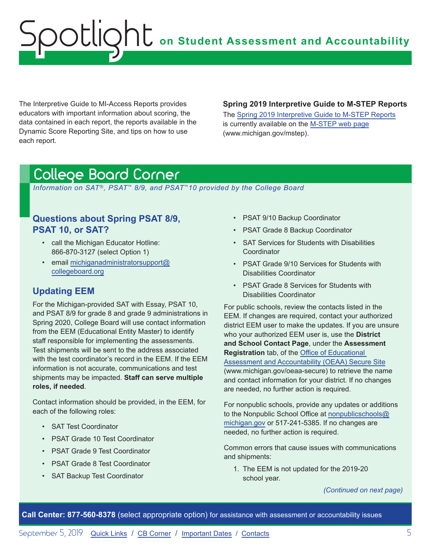# <span id="page-4-0"></span>**on Student Assessment and Accountability** Spotlight

The Interpretive Guide to MI-Access Reports provides educators with important information about scoring, the data contained in each report, the reports available in the Dynamic Score Reporting Site, and tips on how to use each report.

#### **Spring 2019 Interpretive Guide to M-STEP Reports**

The [Spring 2019 Interpretive Guide to M-STEP Reports](https://www.michigan.gov/documents/mde/2019_Interpretive_Guide_to_M-STEP_Reports_661956_7.pdf) is currently available on the [M-STEP web page](www.michigan.gov/mstep) (www.michigan.gov/mstep).

# <span id="page-4-1"></span>College Board Corner

 *Information on SAT*®*, PSAT*™ *8/9, and PSAT*™*10 provided by the College Board*

### **Questions about Spring PSAT 8/9, PSAT 10, or SAT?**

- call the Michigan Educator Hotline: 866-870-3127 (select Option 1)
- email [michiganadministratorsupport@](mailto:michiganadministratorsupport%40collegeboard.org?subject=) [collegeboard.org](mailto:michiganadministratorsupport%40collegeboard.org?subject=)

## **Updating EEM**

For the Michigan-provided SAT with Essay, PSAT 10, and PSAT 8/9 for grade 8 and grade 9 administrations in Spring 2020, College Board will use contact information from the EEM (Educational Entity Master) to identify staff responsible for implementing the assessments. Test shipments will be sent to the address associated with the test coordinator's record in the EEM. If the EEM information is not accurate, communications and test shipments may be impacted. **Staff can serve multiple roles, if needed**.

Contact information should be provided, in the EEM, for each of the following roles:

- SAT Test Coordinator
- PSAT Grade 10 Test Coordinator
- PSAT Grade 9 Test Coordinator
- PSAT Grade 8 Test Coordinator
- SAT Backup Test Coordinator
- PSAT 9/10 Backup Coordinator
- PSAT Grade 8 Backup Coordinator
- SAT Services for Students with Disabilities **Coordinator**
- PSAT Grade 9/10 Services for Students with Disabilities Coordinator
- PSAT Grade 8 Services for Students with Disabilities Coordinator

For public schools, review the contacts listed in the EEM. If changes are required, contact your authorized district EEM user to make the updates. If you are unsure who your authorized EEM user is, use the **District and School Contact Page**, under the **Assessment Registration** tab, of the [Office of Educational](http://www.michigan.gov/oeaa-secure)  [Assessment and Accountability \(OEAA\) Secure Site](http://www.michigan.gov/oeaa-secure) (www.michigan.gov/oeaa-secure) to retrieve the name and contact information for your district. If no changes are needed, no further action is required.

For nonpublic schools, provide any updates or additions to the Nonpublic School Office at [nonpublicschools@](mailto:nonpublicschools%40michigan.gov?subject=) [michigan.gov](mailto:nonpublicschools%40michigan.gov?subject=) or 517-241-5385. If no changes are needed, no further action is required.

Common errors that cause issues with communications and shipments:

1. The EEM is not updated for the 2019-20 school year.

*(Continued on next page)*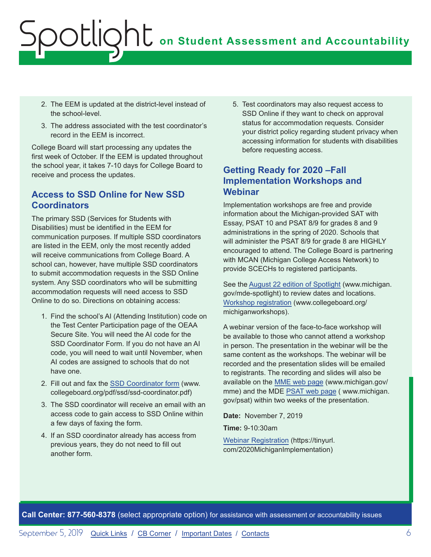# **on Student Assessment and Accountability** ootlig

- 2. The EEM is updated at the district-level instead of the school-level.
- 3. The address associated with the test coordinator's record in the EEM is incorrect.

College Board will start processing any updates the first week of October. If the EEM is updated throughout the school year, it takes 7-10 days for College Board to receive and process the updates.

## **Access to SSD Online for New SSD Coordinators**

The primary SSD (Services for Students with Disabilities) must be identified in the EEM for communication purposes. If multiple SSD coordinators are listed in the EEM, only the most recently added will receive communications from College Board. A school can, however, have multiple SSD coordinators to submit accommodation requests in the SSD Online system. Any SSD coordinators who will be submitting accommodation requests will need access to SSD Online to do so. Directions on obtaining access:

- 1. Find the school's AI (Attending Institution) code on the Test Center Participation page of the OEAA Secure Site. You will need the AI code for the SSD Coordinator Form. If you do not have an AI code, you will need to wait until November, when AI codes are assigned to schools that do not have one.
- 2. Fill out and fax the [SSD Coordinator form](http://www.collegeboard.org/pdf/ssd/ssd-coordinator.pdf) (www. collegeboard.org/pdf/ssd/ssd-coordinator.pdf)
- 3. The SSD coordinator will receive an email with an access code to gain access to SSD Online within a few days of faxing the form.
- 4. If an SSD coordinator already has access from previous years, they do not need to fill out another form.

5. Test coordinators may also request access to SSD Online if they want to check on approval status for accommodation requests. Consider your district policy regarding student privacy when accessing information for students with disabilities before requesting access.

## **Getting Ready for 2020 –Fall Implementation Workshops and Webinar**

Implementation workshops are free and provide information about the Michigan-provided SAT with Essay, PSAT 10 and PSAT 8/9 for grades 8 and 9 administrations in the spring of 2020. Schools that will administer the PSAT 8/9 for grade 8 are HIGHLY encouraged to attend. The College Board is partnering with MCAN (Michigan College Access Network) to provide SCECHs to registered participants.

See the [August 22 edition of Spotlight](https://www.michigan.gov/documents/mde/Spotlight_8-22-19_664068_7.pdf) (www.michigan. gov/mde-spotlight) to review dates and locations. [Workshop registration](http://www.collegeboard.org/michiganworkshops) (www.collegeboard.org/ michiganworkshops).

A webinar version of the face-to-face workshop will be available to those who cannot attend a workshop in person. The presentation in the webinar will be the same content as the workshops. The webinar will be recorded and the presentation slides will be emailed to registrants. The recording and slides will also be available on the [MME web page](www.michigan.gov/mme) (www.michigan.gov/ mme) and the MDE [PSAT web page](http://www.michigan.gov/psat) ( www.michigan. gov/psat) within two weeks of the presentation.

**Date:** November 7, 2019

**Time:** 9-10:30am

[Webinar Registration](https://tinyurl.com/2020MichiganImplementation) (https://tinyurl. com/2020MichiganImplementation)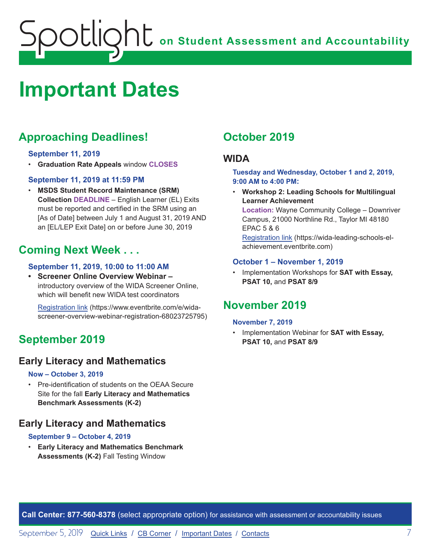# <span id="page-6-0"></span>**on Student Assessment and Accountability** potlic

# <span id="page-6-1"></span>**Important Dates**

# **Approaching Deadlines!**

### **September 11, 2019**

• **Graduation Rate Appeals** window **CLOSES**

### **September 11, 2019 at 11:59 PM**

• **MSDS Student Record Maintenance (SRM) Collection DEADLINE** – English Learner (EL) Exits must be reported and certified in the SRM using an [As of Date] between July 1 and August 31, 2019 AND an [EL/LEP Exit Date] on or before June 30, 2019

# **Coming Next Week . . .**

### **September 11, 2019, 10:00 to 11:00 AM**

**• Screener Online Overview Webinar –**  introductory overview of the WIDA Screener Online, which will benefit new WIDA test coordinators

[Registration link](https://www.eventbrite.com/e/wida-screener-overview-webinar-registration-68023725795) (https://www.eventbrite.com/e/widascreener-overview-webinar-registration-68023725795)

# **September 2019**

## **Early Literacy and Mathematics**

#### **Now – October 3, 2019**

• Pre-identification of students on the OEAA Secure Site for the fall **Early Literacy and Mathematics Benchmark Assessments (K-2)**

## **Early Literacy and Mathematics**

#### **September 9 – October 4, 2019**

• **Early Literacy and Mathematics Benchmark Assessments (K-2)** Fall Testing Window

# **October 2019**

### **WIDA**

**Tuesday and Wednesday, October 1 and 2, 2019, 9:00 AM to 4:00 PM:** 

• **Workshop 2: Leading Schools for Multilingual Learner Achievement** 

**Location:** Wayne Community College – Downriver Campus, 21000 Northline Rd., Taylor MI 48180 EPAC 5 & 6

[Registration link](https://wida-leading-schools-el-achievement.eventbrite.com) (https://wida-leading-schools-elachievement.eventbrite.com)

### **October 1 – November 1, 2019**

• Implementation Workshops for **SAT with Essay, PSAT 10,** and **PSAT 8/9**

# **November 2019**

#### **November 7, 2019**

• Implementation Webinar for **SAT with Essay, PSAT 10,** and **PSAT 8/9**